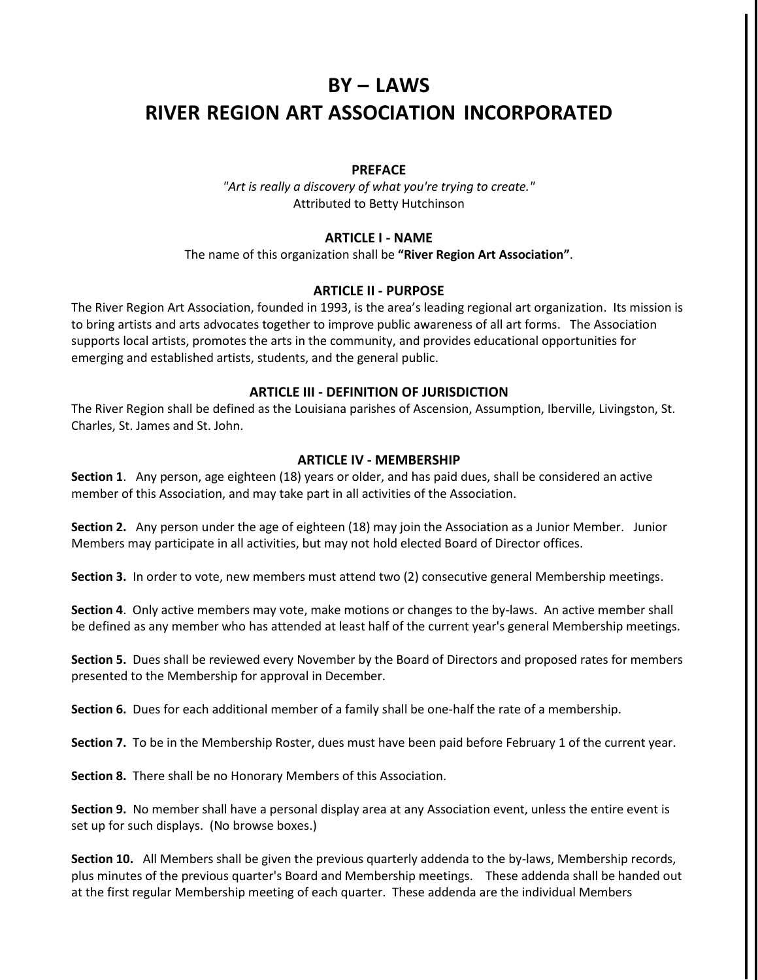# **BY – LAWS RIVER REGION ART ASSOCIATION INCORPORATED**

## **PREFACE**

*"Art is really a discovery of what you're trying to create."* Attributed to Betty Hutchinson

## **ARTICLE I - NAME**

The name of this organization shall be **"River Region Art Association"**.

## **ARTICLE II - PURPOSE**

The River Region Art Association, founded in 1993, is the area's leading regional art organization. Its mission is to bring artists and arts advocates together to improve public awareness of all art forms. The Association supports local artists, promotes the arts in the community, and provides educational opportunities for emerging and established artists, students, and the general public.

## **ARTICLE III - DEFINITION OF JURISDICTION**

The River Region shall be defined as the Louisiana parishes of Ascension, Assumption, Iberville, Livingston, St. Charles, St. James and St. John.

## **ARTICLE IV - MEMBERSHIP**

**Section 1**. Any person, age eighteen (18) years or older, and has paid dues, shall be considered an active member of this Association, and may take part in all activities of the Association.

**Section 2.** Any person under the age of eighteen (18) may join the Association as a Junior Member. Junior Members may participate in all activities, but may not hold elected Board of Director offices.

**Section 3.** In order to vote, new members must attend two (2) consecutive general Membership meetings.

**Section 4**. Only active members may vote, make motions or changes to the by-laws. An active member shall be defined as any member who has attended at least half of the current year's general Membership meetings.

**Section 5.** Dues shall be reviewed every November by the Board of Directors and proposed rates for members presented to the Membership for approval in December.

**Section 6.** Dues for each additional member of a family shall be one-half the rate of a membership.

**Section 7.** To be in the Membership Roster, dues must have been paid before February 1 of the current year.

**Section 8.** There shall be no Honorary Members of this Association.

**Section 9.** No member shall have a personal display area at any Association event, unless the entire event is set up for such displays. (No browse boxes.)

**Section 10.** All Members shall be given the previous quarterly addenda to the by-laws, Membership records, plus minutes of the previous quarter's Board and Membership meetings. These addenda shall be handed out at the first regular Membership meeting of each quarter. These addenda are the individual Members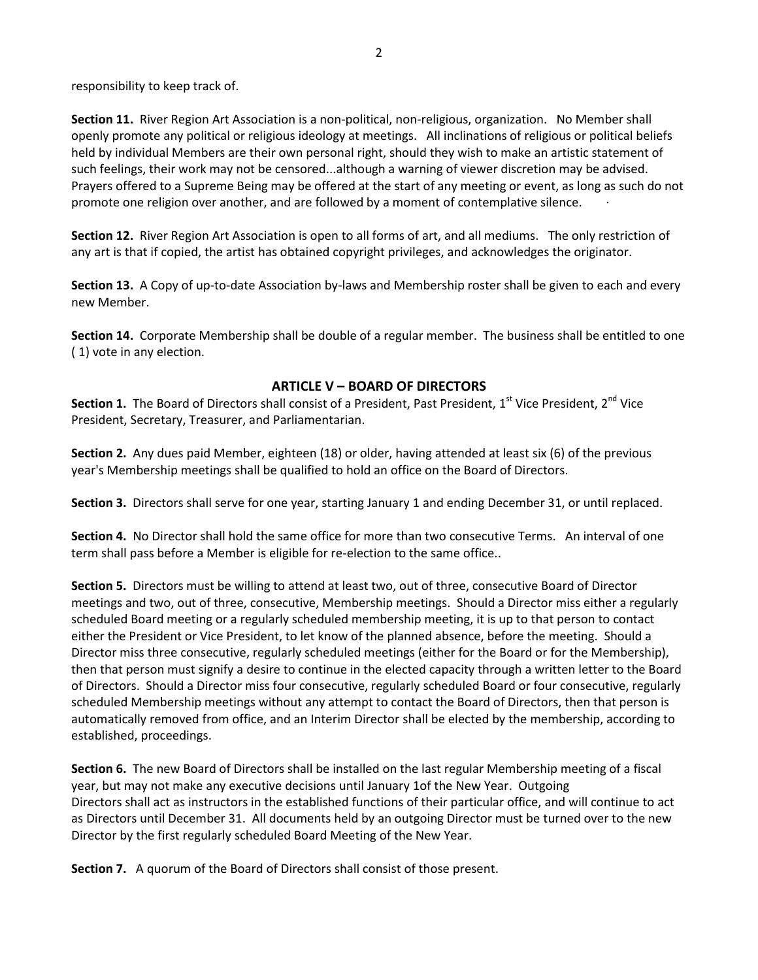responsibility to keep track of.

**Section 11.** River Region Art Association is a non-political, non-religious, organization. No Member shall openly promote any political or religious ideology at meetings. All inclinations of religious or political beliefs held by individual Members are their own personal right, should they wish to make an artistic statement of such feelings, their work may not be censored...although a warning of viewer discretion may be advised. Prayers offered to a Supreme Being may be offered at the start of any meeting or event, as long as such do not promote one religion over another, and are followed by a moment of contemplative silence. ·

**Section 12.** River Region Art Association is open to all forms of art, and all mediums. The only restriction of any art is that if copied, the artist has obtained copyright privileges, and acknowledges the originator.

**Section 13.** A Copy of up-to-date Association by-laws and Membership roster shall be given to each and every new Member.

**Section 14.** Corporate Membership shall be double of a regular member. The business shall be entitled to one ( 1) vote in any election.

## **ARTICLE V – BOARD OF DIRECTORS**

**Section 1.** The Board of Directors shall consist of a President, Past President, 1st Vice President, 2<sup>nd</sup> Vice President, Secretary, Treasurer, and Parliamentarian.

**Section 2.** Any dues paid Member, eighteen (18) or older, having attended at least six (6) of the previous year's Membership meetings shall be qualified to hold an office on the Board of Directors.

**Section 3.** Directors shall serve for one year, starting January 1 and ending December 31, or until replaced.

**Section 4.** No Director shall hold the same office for more than two consecutive Terms. An interval of one term shall pass before a Member is eligible for re-election to the same office..

**Section 5.** Directors must be willing to attend at least two, out of three, consecutive Board of Director meetings and two, out of three, consecutive, Membership meetings. Should a Director miss either a regularly scheduled Board meeting or a regularly scheduled membership meeting, it is up to that person to contact either the President or Vice President, to let know of the planned absence, before the meeting. Should a Director miss three consecutive, regularly scheduled meetings (either for the Board or for the Membership), then that person must signify a desire to continue in the elected capacity through a written letter to the Board of Directors. Should a Director miss four consecutive, regularly scheduled Board or four consecutive, regularly scheduled Membership meetings without any attempt to contact the Board of Directors, then that person is automatically removed from office, and an Interim Director shall be elected by the membership, according to established, proceedings.

**Section 6.** The new Board of Directors shall be installed on the last regular Membership meeting of a fiscal year, but may not make any executive decisions until January 1of the New Year. Outgoing Directors shall act as instructors in the established functions of their particular office, and will continue to act as Directors until December 31. All documents held by an outgoing Director must be turned over to the new Director by the first regularly scheduled Board Meeting of the New Year.

**Section 7.** A quorum of the Board of Directors shall consist of those present.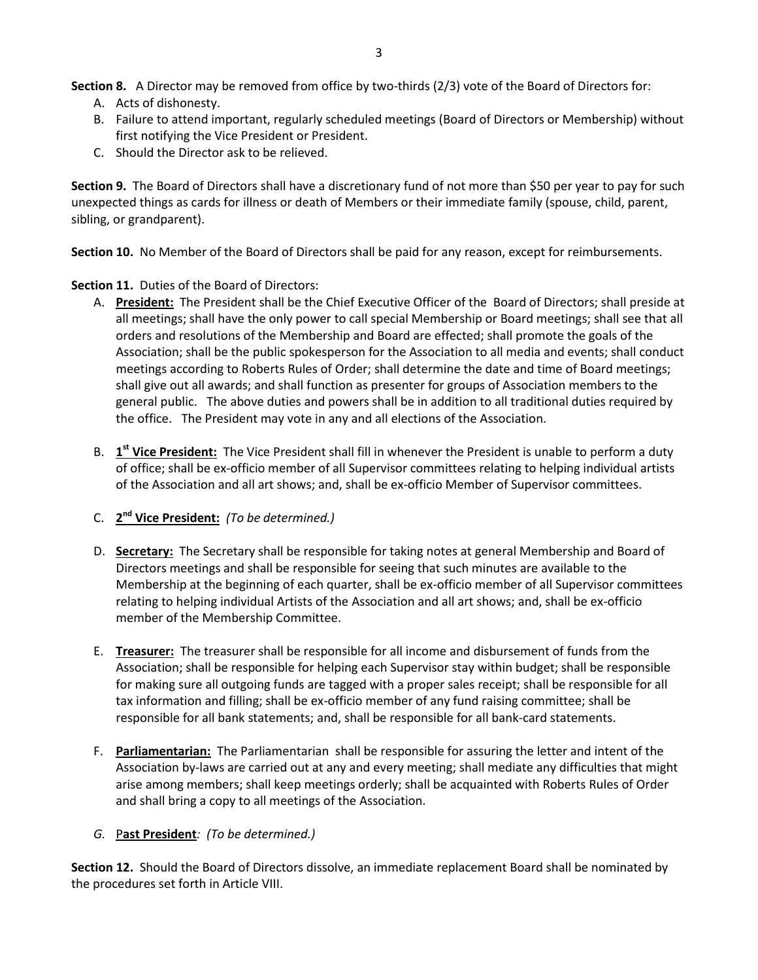**Section 8.** A Director may be removed from office by two-thirds (2/3) vote of the Board of Directors for:

- A. Acts of dishonesty.
- B. Failure to attend important, regularly scheduled meetings (Board of Directors or Membership) without first notifying the Vice President or President.
- C. Should the Director ask to be relieved.

**Section 9.** The Board of Directors shall have a discretionary fund of not more than \$50 per year to pay for such unexpected things as cards for illness or death of Members or their immediate family (spouse, child, parent, sibling, or grandparent).

**Section 10.** No Member of the Board of Directors shall be paid for any reason, except for reimbursements.

# **Section 11.** Duties of the Board of Directors:

- A. **President:** The President shall be the Chief Executive Officer of the Board of Directors; shall preside at all meetings; shall have the only power to call special Membership or Board meetings; shall see that all orders and resolutions of the Membership and Board are effected; shall promote the goals of the Association; shall be the public spokesperson for the Association to all media and events; shall conduct meetings according to Roberts Rules of Order; shall determine the date and time of Board meetings; shall give out all awards; and shall function as presenter for groups of Association members to the general public. The above duties and powers shall be in addition to all traditional duties required by the office. The President may vote in any and all elections of the Association.
- B. **1 st Vice President:** The Vice President shall fill in whenever the President is unable to perform a duty of office; shall be ex-officio member of all Supervisor committees relating to helping individual artists of the Association and all art shows; and, shall be ex-officio Member of Supervisor committees.
- C. **2 nd Vice President:** *(To be determined.)*
- D. **Secretary:** The Secretary shall be responsible for taking notes at general Membership and Board of Directors meetings and shall be responsible for seeing that such minutes are available to the Membership at the beginning of each quarter, shall be ex-officio member of all Supervisor committees relating to helping individual Artists of the Association and all art shows; and, shall be ex-officio member of the Membership Committee.
- E. **Treasurer:** The treasurer shall be responsible for all income and disbursement of funds from the Association; shall be responsible for helping each Supervisor stay within budget; shall be responsible for making sure all outgoing funds are tagged with a proper sales receipt; shall be responsible for all tax information and filling; shall be ex-officio member of any fund raising committee; shall be responsible for all bank statements; and, shall be responsible for all bank-card statements.
- F. **Parliamentarian:** The Parliamentarian shall be responsible for assuring the letter and intent of the Association by-laws are carried out at any and every meeting; shall mediate any difficulties that might arise among members; shall keep meetings orderly; shall be acquainted with Roberts Rules of Order and shall bring a copy to all meetings of the Association.

# *G.* P**ast President***: (To be determined.)*

**Section 12.** Should the Board of Directors dissolve, an immediate replacement Board shall be nominated by the procedures set forth in Article VIII.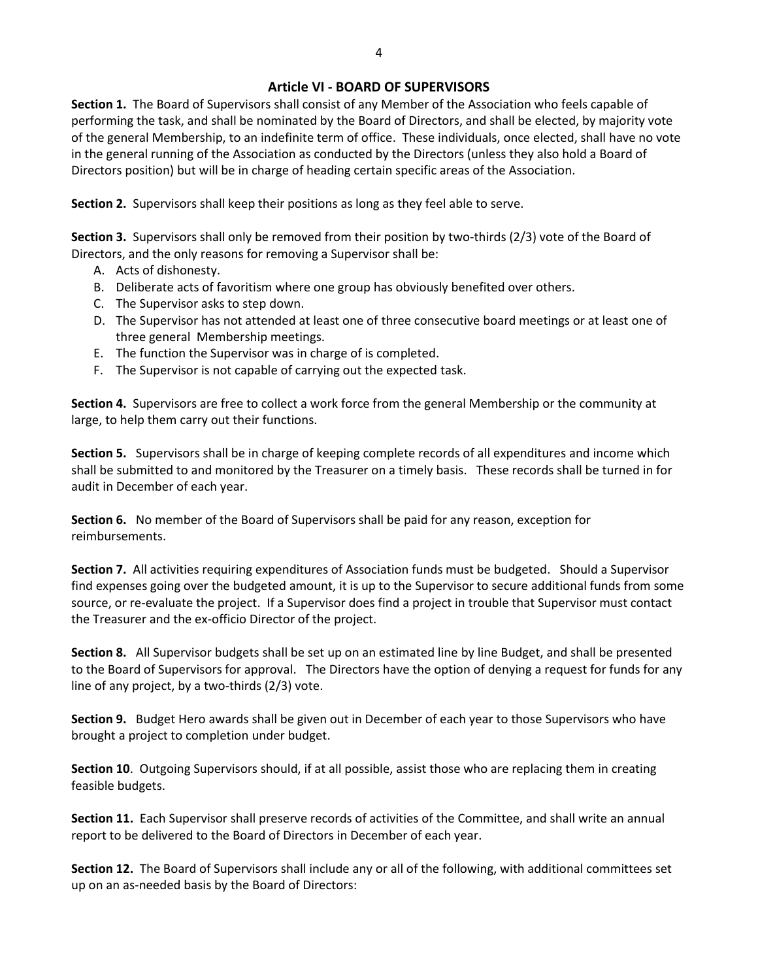## **Article VI - BOARD OF SUPERVISORS**

**Section 1.** The Board of Supervisors shall consist of any Member of the Association who feels capable of performing the task, and shall be nominated by the Board of Directors, and shall be elected, by majority vote of the general Membership, to an indefinite term of office. These individuals, once elected, shall have no vote in the general running of the Association as conducted by the Directors (unless they also hold a Board of Directors position) but will be in charge of heading certain specific areas of the Association.

**Section 2.** Supervisors shall keep their positions as long as they feel able to serve.

**Section 3.** Supervisors shall only be removed from their position by two-thirds (2/3) vote of the Board of Directors, and the only reasons for removing a Supervisor shall be:

- A. Acts of dishonesty.
- B. Deliberate acts of favoritism where one group has obviously benefited over others.
- C. The Supervisor asks to step down.
- D. The Supervisor has not attended at least one of three consecutive board meetings or at least one of three general Membership meetings.
- E. The function the Supervisor was in charge of is completed.
- F. The Supervisor is not capable of carrying out the expected task.

**Section 4.** Supervisors are free to collect a work force from the general Membership or the community at large, to help them carry out their functions.

**Section 5.** Supervisors shall be in charge of keeping complete records of all expenditures and income which shall be submitted to and monitored by the Treasurer on a timely basis. These records shall be turned in for audit in December of each year.

**Section 6.** No member of the Board of Supervisors shall be paid for any reason, exception for reimbursements.

**Section 7.** All activities requiring expenditures of Association funds must be budgeted. Should a Supervisor find expenses going over the budgeted amount, it is up to the Supervisor to secure additional funds from some source, or re-evaluate the project. If a Supervisor does find a project in trouble that Supervisor must contact the Treasurer and the ex-officio Director of the project.

**Section 8.** All Supervisor budgets shall be set up on an estimated line by line Budget, and shall be presented to the Board of Supervisors for approval. The Directors have the option of denying a request for funds for any line of any project, by a two-thirds (2/3) vote.

**Section 9.** Budget Hero awards shall be given out in December of each year to those Supervisors who have brought a project to completion under budget.

**Section 10**. Outgoing Supervisors should, if at all possible, assist those who are replacing them in creating feasible budgets.

**Section 11.** Each Supervisor shall preserve records of activities of the Committee, and shall write an annual report to be delivered to the Board of Directors in December of each year.

**Section 12.** The Board of Supervisors shall include any or all of the following, with additional committees set up on an as-needed basis by the Board of Directors: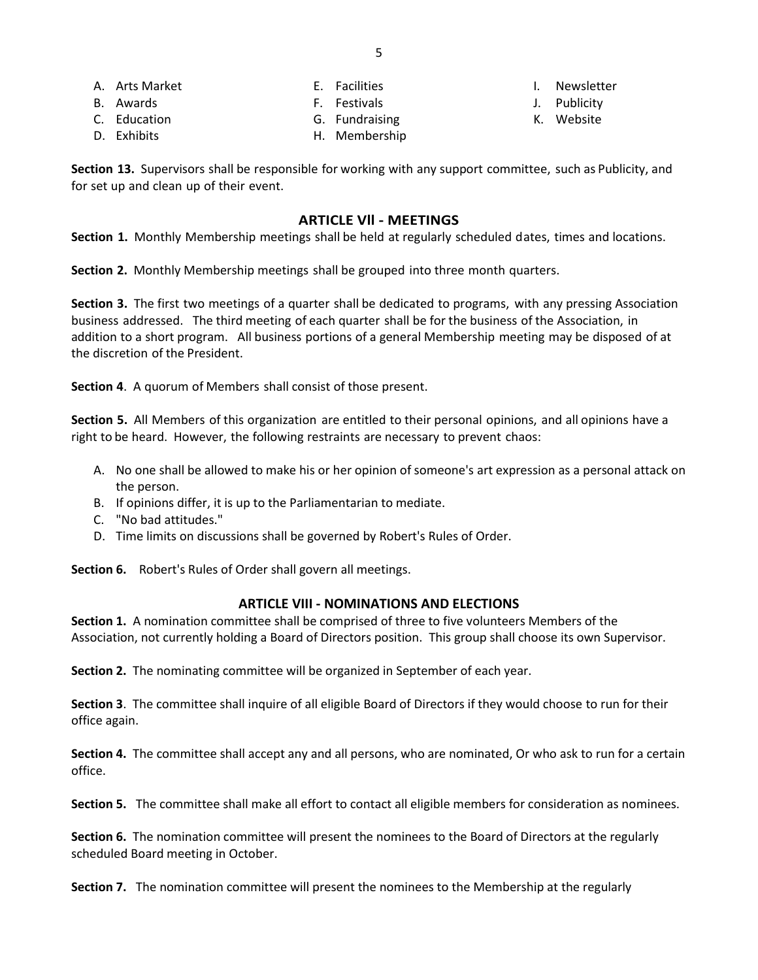A. Arts Market B. Awards

- E. Facilities
- F. Festivals
- 
- C. Education D. Exhibits
- G. Fundraising
- H. Membership
- I. Newsletter
- J. Publicity
- K. Website

**Section 13.** Supervisors shall be responsible for working with any support committee, such as Publicity, and for set up and clean up of their event.

## **ARTICLE Vll - MEETINGS**

**Section 1.** Monthly Membership meetings shall be held at regularly scheduled dates, times and locations.

**Section 2.** Monthly Membership meetings shall be grouped into three month quarters.

**Section 3.** The first two meetings of a quarter shall be dedicated to programs, with any pressing Association business addressed. The third meeting of each quarter shall be for the business of the Association, in addition to a short program. All business portions of a general Membership meeting may be disposed of at the discretion of the President.

**Section 4**. A quorum of Members shall consist of those present.

**Section 5.** All Members of this organization are entitled to their personal opinions, and all opinions have a right to be heard. However, the following restraints are necessary to prevent chaos:

- A. No one shall be allowed to make his or her opinion of someone's art expression as a personal attack on the person.
- B. If opinions differ, it is up to the Parliamentarian to mediate.
- C. "No bad attitudes."
- D. Time limits on discussions shall be governed by Robert's Rules of Order.

**Section 6.** Robert's Rules of Order shall govern all meetings.

## **ARTICLE VIII - NOMINATIONS AND ELECTIONS**

**Section 1.** A nomination committee shall be comprised of three to five volunteers Members of the Association, not currently holding a Board of Directors position. This group shall choose its own Supervisor.

**Section 2.** The nominating committee will be organized in September of each year.

**Section 3**. The committee shall inquire of all eligible Board of Directors if they would choose to run for their office again.

**Section 4.** The committee shall accept any and all persons, who are nominated, Or who ask to run for a certain office.

**Section 5.** The committee shall make all effort to contact all eligible members for consideration as nominees.

**Section 6.** The nomination committee will present the nominees to the Board of Directors at the regularly scheduled Board meeting in October.

**Section 7.** The nomination committee will present the nominees to the Membership at the regularly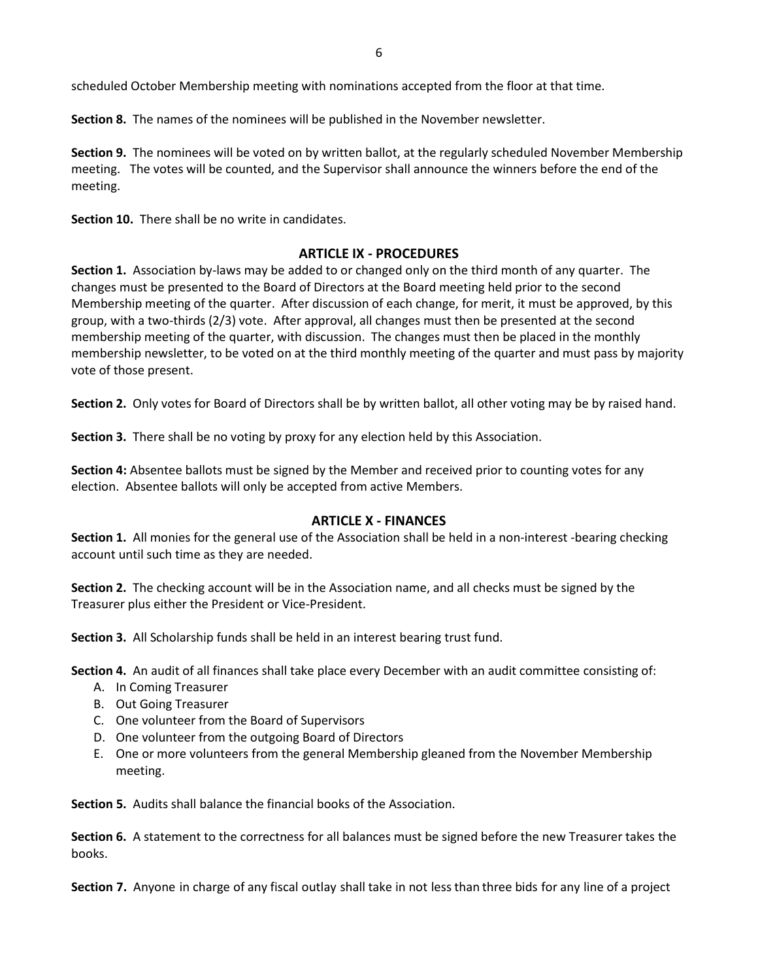scheduled October Membership meeting with nominations accepted from the floor at that time.

**Section 8.** The names of the nominees will be published in the November newsletter.

**Section 9.** The nominees will be voted on by written ballot, at the regularly scheduled November Membership meeting. The votes will be counted, and the Supervisor shall announce the winners before the end of the meeting.

**Section 10.** There shall be no write in candidates.

## **ARTICLE IX - PROCEDURES**

**Section 1.** Association by-laws may be added to or changed only on the third month of any quarter. The changes must be presented to the Board of Directors at the Board meeting held prior to the second Membership meeting of the quarter. After discussion of each change, for merit, it must be approved, by this group, with a two-thirds (2/3) vote. After approval, all changes must then be presented at the second membership meeting of the quarter, with discussion. The changes must then be placed in the monthly membership newsletter, to be voted on at the third monthly meeting of the quarter and must pass by majority vote of those present.

**Section 2.** Only votes for Board of Directors shall be by written ballot, all other voting may be by raised hand.

**Section 3.** There shall be no voting by proxy for any election held by this Association.

**Section 4:** Absentee ballots must be signed by the Member and received prior to counting votes for any election. Absentee ballots will only be accepted from active Members.

# **ARTICLE X - FINANCES**

**Section 1.** All monies for the general use of the Association shall be held in a non-interest -bearing checking account until such time as they are needed.

**Section 2.** The checking account will be in the Association name, and all checks must be signed by the Treasurer plus either the President or Vice-President.

**Section 3.** All Scholarship funds shall be held in an interest bearing trust fund.

**Section 4.** An audit of all finances shall take place every December with an audit committee consisting of:

- A. In Coming Treasurer
- B. Out Going Treasurer
- C. One volunteer from the Board of Supervisors
- D. One volunteer from the outgoing Board of Directors
- E. One or more volunteers from the general Membership gleaned from the November Membership meeting.

**Section 5.** Audits shall balance the financial books of the Association.

**Section 6.** A statement to the correctness for all balances must be signed before the new Treasurer takes the books.

**Section 7.** Anyone in charge of any fiscal outlay shall take in not less than three bids for any line of a project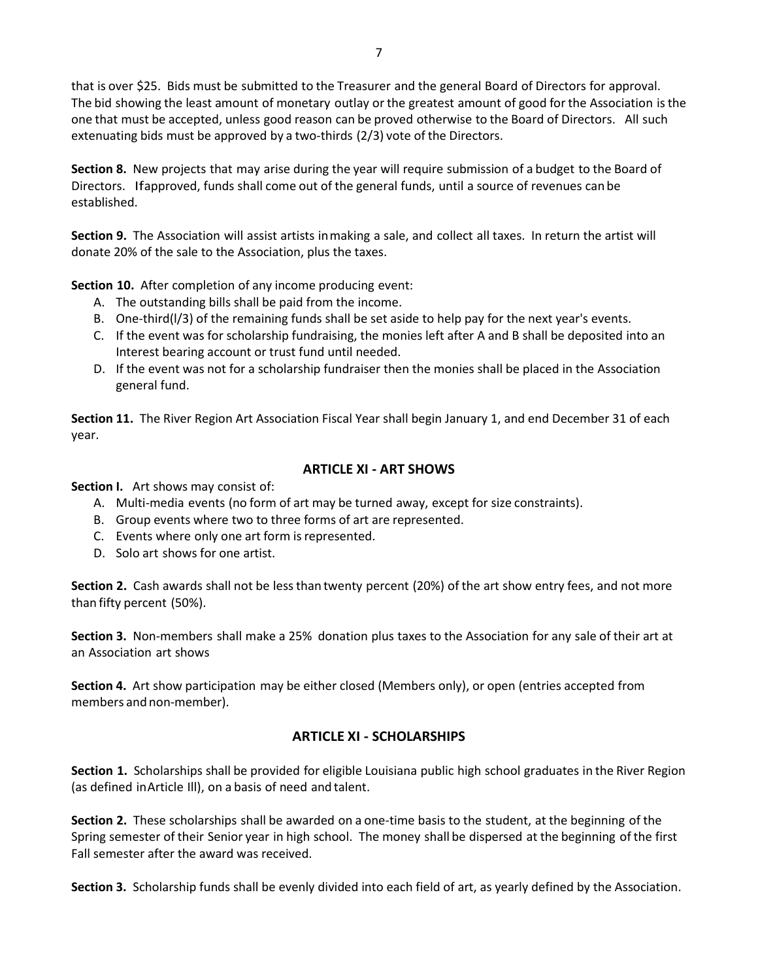that is over \$25. Bids must be submitted to the Treasurer and the general Board of Directors for approval. The bid showing the least amount of monetary outlay or the greatest amount of good for the Association isthe one that must be accepted, unless good reason can be proved otherwise to the Board of Directors. All such extenuating bids must be approved by a two-thirds (2/3) vote of the Directors.

**Section 8.** New projects that may arise during the year will require submission of a budget to the Board of Directors. Ifapproved, funds shall come out of the general funds, until a source of revenues can be established.

**Section 9.** The Association will assist artists inmaking a sale, and collect all taxes. In return the artist will donate 20% of the sale to the Association, plus the taxes.

**Section 10.** After completion of any income producing event:

- A. The outstanding bills shall be paid from the income.
- B. One-third(l/3) of the remaining funds shall be set aside to help pay for the next year's events.
- C. If the event was for scholarship fundraising, the monies left after A and B shall be deposited into an Interest bearing account or trust fund until needed.
- D. If the event was not for a scholarship fundraiser then the monies shall be placed in the Association general fund.

**Section 11.** The River Region Art Association Fiscal Year shall begin January 1, and end December 31 of each year.

## **ARTICLE XI - ART SHOWS**

**Section I.** Art shows may consist of:

- A. Multi-media events (no form of art may be turned away, except for size constraints).
- B. Group events where two to three forms of art are represented.
- C. Events where only one art form is represented.
- D. Solo art shows for one artist.

**Section 2.** Cash awards shall not be lessthan twenty percent (20%) of the art show entry fees, and not more than fifty percent (50%).

**Section 3.** Non-members shall make a 25% donation plus taxes to the Association for any sale of their art at an Association art shows

**Section 4.** Art show participation may be either closed (Members only), or open (entries accepted from members and non-member).

## **ARTICLE XI - SCHOLARSHIPS**

**Section 1.** Scholarships shall be provided for eligible Louisiana public high school graduates in the River Region (as defined inArticle Ill), on a basis of need and talent.

**Section 2.** These scholarships shall be awarded on a one-time basis to the student, at the beginning of the Spring semester of their Senior year in high school. The money shall be dispersed at the beginning of the first Fall semester after the award was received.

**Section 3.** Scholarship funds shall be evenly divided into each field of art, as yearly defined by the Association.